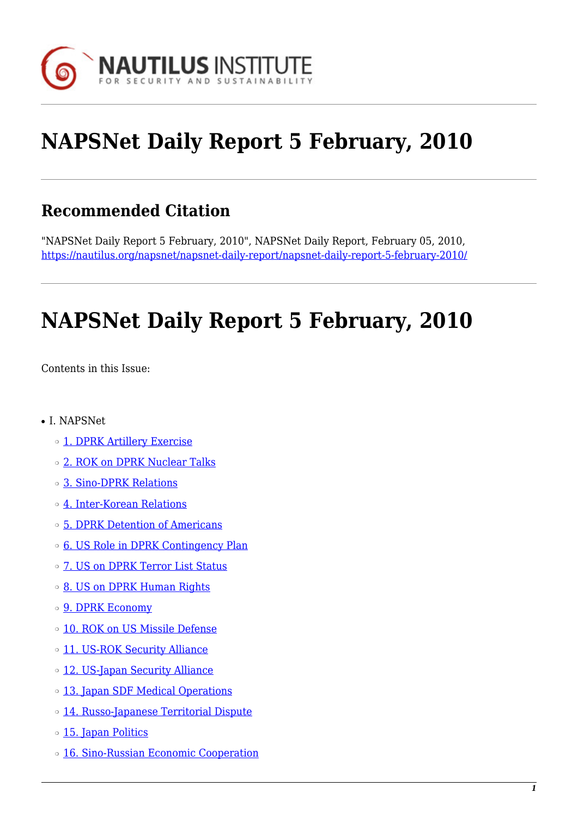

# **NAPSNet Daily Report 5 February, 2010**

### **Recommended Citation**

"NAPSNet Daily Report 5 February, 2010", NAPSNet Daily Report, February 05, 2010, <https://nautilus.org/napsnet/napsnet-daily-report/napsnet-daily-report-5-february-2010/>

# **NAPSNet Daily Report 5 February, 2010**

<span id="page-0-0"></span>Contents in this Issue:

- I. NAPSNet
	- ❍ [1. DPRK Artillery Exercise](#page-1-0)
	- ❍ [2. ROK on DPRK Nuclear Talks](#page-1-1)
	- ❍ [3. Sino-DPRK Relations](#page-2-0)
	- ❍ [4. Inter-Korean Relations](#page-2-1)
	- ❍ [5. DPRK Detention of Americans](#page-2-2)
	- o [6. US Role in DPRK Contingency Plan](#page-3-0)
	- ❍ [7. US on DPRK Terror List Status](#page-3-1)
	- ❍ [8. US on DPRK Human Rights](#page-3-2)
	- o **[9. DPRK Economy](#page-4-0)**
	- o [10. ROK on US Missile Defense](#page-4-1)
	- o [11. US-ROK Security Alliance](#page-4-2)
	- ❍ [12. US-Japan Security Alliance](#page-4-3)
	- o [13. Japan SDF Medical Operations](#page-5-0)
	- ❍ [14. Russo-Japanese Territorial Dispute](#page-5-1)
	- ❍ [15. Japan Politics](#page-5-2)
	- o [16. Sino-Russian Economic Cooperation](#page-5-3)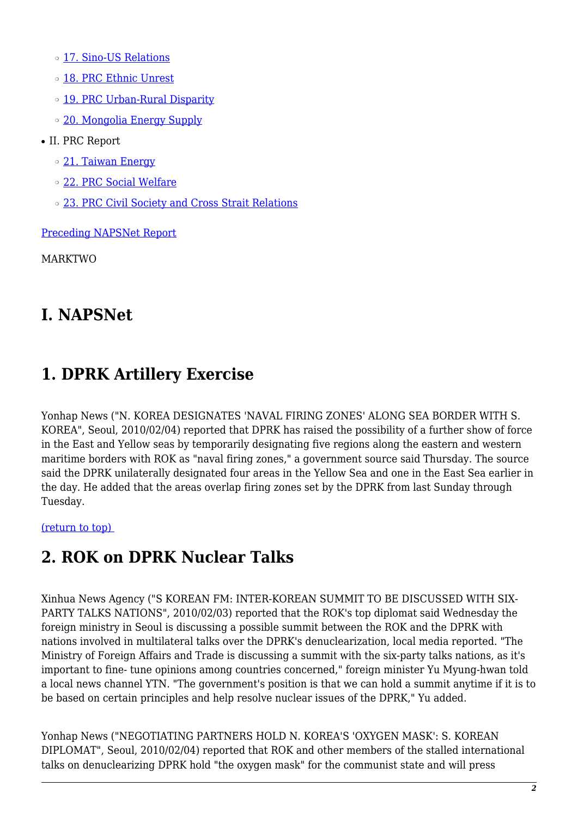o [17. Sino-US Relations](#page-6-0)

- ❍ [18. PRC Ethnic Unrest](#page-6-1)
- o [19. PRC Urban-Rural Disparity](#page-6-2)
- o [20. Mongolia Energy Supply](#page-7-0)
- II. PRC Report
	- ❍ [21. Taiwan Energy](#page-7-1)
	- ❍ [22. PRC Social Welfare](#page-7-2)
	- o [23. PRC Civil Society and Cross Strait Relations](#page-7-3)

[Preceding NAPSNet Report](https://nautilus.org/mailing-lists/napsnet/dr/2010-2/napsnet-daily-report-4-february-2010/)

MARKTWO

### **I. NAPSNet**

# <span id="page-1-0"></span>**1. DPRK Artillery Exercise**

Yonhap News ("N. KOREA DESIGNATES 'NAVAL FIRING ZONES' ALONG SEA BORDER WITH S. KOREA", Seoul, 2010/02/04) reported that DPRK has raised the possibility of a further show of force in the East and Yellow seas by temporarily designating five regions along the eastern and western maritime borders with ROK as "naval firing zones," a government source said Thursday. The source said the DPRK unilaterally designated four areas in the Yellow Sea and one in the East Sea earlier in the day. He added that the areas overlap firing zones set by the DPRK from last Sunday through Tuesday.

<span id="page-1-1"></span>[\(return to top\)](#page-0-0) 

# **2. ROK on DPRK Nuclear Talks**

Xinhua News Agency ("S KOREAN FM: INTER-KOREAN SUMMIT TO BE DISCUSSED WITH SIX-PARTY TALKS NATIONS", 2010/02/03) reported that the ROK's top diplomat said Wednesday the foreign ministry in Seoul is discussing a possible summit between the ROK and the DPRK with nations involved in multilateral talks over the DPRK's denuclearization, local media reported. "The Ministry of Foreign Affairs and Trade is discussing a summit with the six-party talks nations, as it's important to fine- tune opinions among countries concerned," foreign minister Yu Myung-hwan told a local news channel YTN. "The government's position is that we can hold a summit anytime if it is to be based on certain principles and help resolve nuclear issues of the DPRK," Yu added.

Yonhap News ("NEGOTIATING PARTNERS HOLD N. KOREA'S 'OXYGEN MASK': S. KOREAN DIPLOMAT", Seoul, 2010/02/04) reported that ROK and other members of the stalled international talks on denuclearizing DPRK hold "the oxygen mask" for the communist state and will press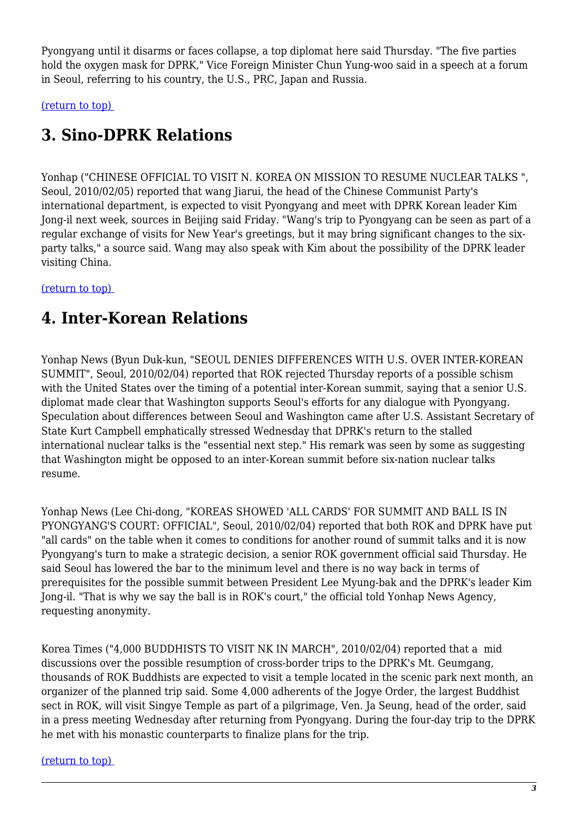Pyongyang until it disarms or faces collapse, a top diplomat here said Thursday. "The five parties hold the oxygen mask for DPRK," Vice Foreign Minister Chun Yung-woo said in a speech at a forum in Seoul, referring to his country, the U.S., PRC, Japan and Russia.

<span id="page-2-0"></span>[\(return to top\)](#page-0-0) 

### **3. Sino-DPRK Relations**

Yonhap ("CHINESE OFFICIAL TO VISIT N. KOREA ON MISSION TO RESUME NUCLEAR TALKS ", Seoul, 2010/02/05) reported that wang Jiarui, the head of the Chinese Communist Party's international department, is expected to visit Pyongyang and meet with DPRK Korean leader Kim Jong-il next week, sources in Beijing said Friday. "Wang's trip to Pyongyang can be seen as part of a regular exchange of visits for New Year's greetings, but it may bring significant changes to the sixparty talks," a source said. Wang may also speak with Kim about the possibility of the DPRK leader visiting China.

#### <span id="page-2-1"></span>[\(return to top\)](#page-0-0)

### **4. Inter-Korean Relations**

Yonhap News (Byun Duk-kun, "SEOUL DENIES DIFFERENCES WITH U.S. OVER INTER-KOREAN SUMMIT", Seoul, 2010/02/04) reported that ROK rejected Thursday reports of a possible schism with the United States over the timing of a potential inter-Korean summit, saying that a senior U.S. diplomat made clear that Washington supports Seoul's efforts for any dialogue with Pyongyang. Speculation about differences between Seoul and Washington came after U.S. Assistant Secretary of State Kurt Campbell emphatically stressed Wednesday that DPRK's return to the stalled international nuclear talks is the "essential next step." His remark was seen by some as suggesting that Washington might be opposed to an inter-Korean summit before six-nation nuclear talks resume.

Yonhap News (Lee Chi-dong, "KOREAS SHOWED 'ALL CARDS' FOR SUMMIT AND BALL IS IN PYONGYANG'S COURT: OFFICIAL", Seoul, 2010/02/04) reported that both ROK and DPRK have put "all cards" on the table when it comes to conditions for another round of summit talks and it is now Pyongyang's turn to make a strategic decision, a senior ROK government official said Thursday. He said Seoul has lowered the bar to the minimum level and there is no way back in terms of prerequisites for the possible summit between President Lee Myung-bak and the DPRK's leader Kim Jong-il. "That is why we say the ball is in ROK's court," the official told Yonhap News Agency, requesting anonymity.

Korea Times ("4,000 BUDDHISTS TO VISIT NK IN MARCH", 2010/02/04) reported that a mid discussions over the possible resumption of cross-border trips to the DPRK's Mt. Geumgang, thousands of ROK Buddhists are expected to visit a temple located in the scenic park next month, an organizer of the planned trip said. Some 4,000 adherents of the Jogye Order, the largest Buddhist sect in ROK, will visit Singye Temple as part of a pilgrimage, Ven. Ja Seung, head of the order, said in a press meeting Wednesday after returning from Pyongyang. During the four-day trip to the DPRK he met with his monastic counterparts to finalize plans for the trip.

#### <span id="page-2-2"></span>[\(return to top\)](#page-0-0)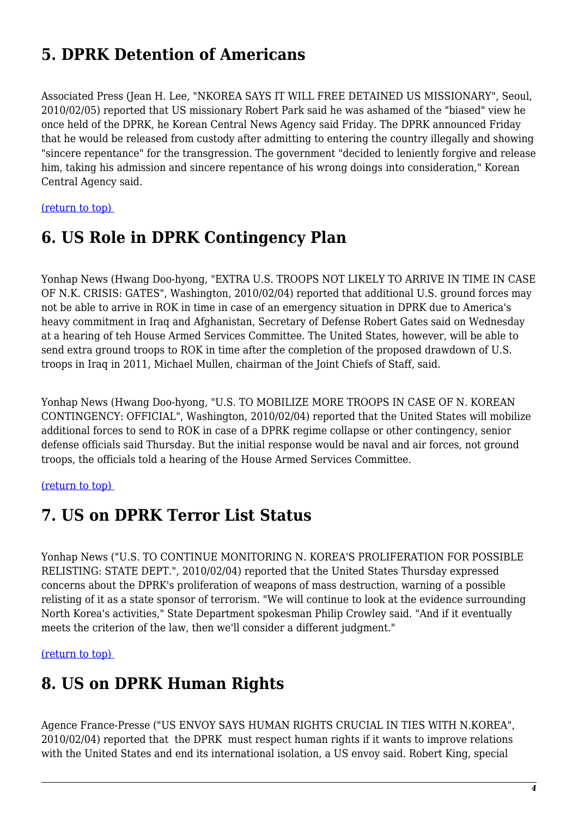### **5. DPRK Detention of Americans**

Associated Press (Jean H. Lee, "NKOREA SAYS IT WILL FREE DETAINED US MISSIONARY", Seoul, 2010/02/05) reported that US missionary Robert Park said he was ashamed of the "biased" view he once held of the DPRK, he Korean Central News Agency said Friday. The DPRK announced Friday that he would be released from custody after admitting to entering the country illegally and showing "sincere repentance" for the transgression. The government "decided to leniently forgive and release him, taking his admission and sincere repentance of his wrong doings into consideration," Korean Central Agency said.

<span id="page-3-0"></span>[\(return to top\)](#page-0-0) 

# **6. US Role in DPRK Contingency Plan**

Yonhap News (Hwang Doo-hyong, "EXTRA U.S. TROOPS NOT LIKELY TO ARRIVE IN TIME IN CASE OF N.K. CRISIS: GATES", Washington, 2010/02/04) reported that additional U.S. ground forces may not be able to arrive in ROK in time in case of an emergency situation in DPRK due to America's heavy commitment in Iraq and Afghanistan, Secretary of Defense Robert Gates said on Wednesday at a hearing of teh House Armed Services Committee. The United States, however, will be able to send extra ground troops to ROK in time after the completion of the proposed drawdown of U.S. troops in Iraq in 2011, Michael Mullen, chairman of the Joint Chiefs of Staff, said.

Yonhap News (Hwang Doo-hyong, "U.S. TO MOBILIZE MORE TROOPS IN CASE OF N. KOREAN CONTINGENCY: OFFICIAL", Washington, 2010/02/04) reported that the United States will mobilize additional forces to send to ROK in case of a DPRK regime collapse or other contingency, senior defense officials said Thursday. But the initial response would be naval and air forces, not ground troops, the officials told a hearing of the House Armed Services Committee.

#### <span id="page-3-1"></span>[\(return to top\)](#page-0-0)

### **7. US on DPRK Terror List Status**

Yonhap News ("U.S. TO CONTINUE MONITORING N. KOREA'S PROLIFERATION FOR POSSIBLE RELISTING: STATE DEPT.", 2010/02/04) reported that the United States Thursday expressed concerns about the DPRK's proliferation of weapons of mass destruction, warning of a possible relisting of it as a state sponsor of terrorism. "We will continue to look at the evidence surrounding North Korea's activities," State Department spokesman Philip Crowley said. "And if it eventually meets the criterion of the law, then we'll consider a different judgment."

<span id="page-3-2"></span>[\(return to top\)](#page-0-0) 

### **8. US on DPRK Human Rights**

Agence France-Presse ("US ENVOY SAYS HUMAN RIGHTS CRUCIAL IN TIES WITH N.KOREA", 2010/02/04) reported that the DPRK must respect human rights if it wants to improve relations with the United States and end its international isolation, a US envoy said. Robert King, special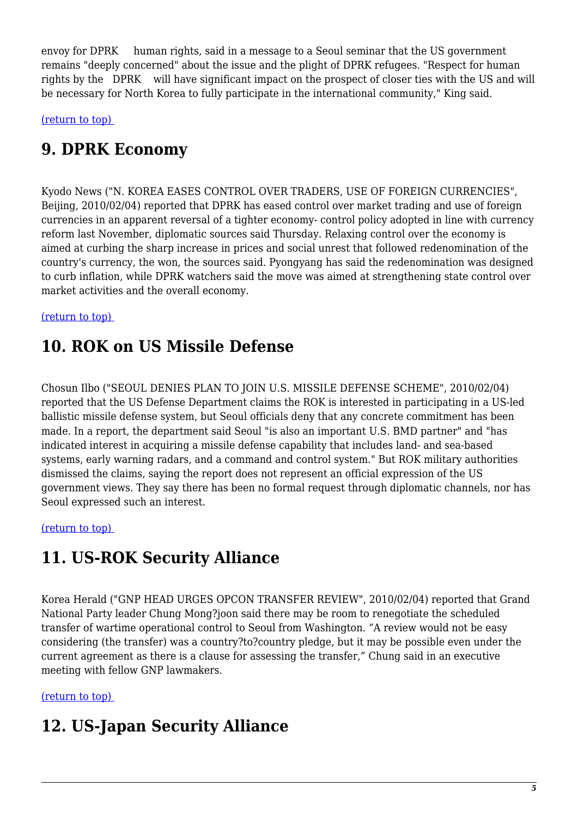envoy for DPRK human rights, said in a message to a Seoul seminar that the US government remains "deeply concerned" about the issue and the plight of DPRK refugees. "Respect for human rights by the DPRK will have significant impact on the prospect of closer ties with the US and will be necessary for North Korea to fully participate in the international community," King said.

<span id="page-4-0"></span>[\(return to top\)](#page-0-0) 

# **9. DPRK Economy**

Kyodo News ("N. KOREA EASES CONTROL OVER TRADERS, USE OF FOREIGN CURRENCIES", Beijing, 2010/02/04) reported that DPRK has eased control over market trading and use of foreign currencies in an apparent reversal of a tighter economy- control policy adopted in line with currency reform last November, diplomatic sources said Thursday. Relaxing control over the economy is aimed at curbing the sharp increase in prices and social unrest that followed redenomination of the country's currency, the won, the sources said. Pyongyang has said the redenomination was designed to curb inflation, while DPRK watchers said the move was aimed at strengthening state control over market activities and the overall economy.

#### <span id="page-4-1"></span>[\(return to top\)](#page-0-0)

### **10. ROK on US Missile Defense**

Chosun Ilbo ("SEOUL DENIES PLAN TO JOIN U.S. MISSILE DEFENSE SCHEME", 2010/02/04) reported that the US Defense Department claims the ROK is interested in participating in a US-led ballistic missile defense system, but Seoul officials deny that any concrete commitment has been made. In a report, the department said Seoul "is also an important U.S. BMD partner" and "has indicated interest in acquiring a missile defense capability that includes land- and sea-based systems, early warning radars, and a command and control system." But ROK military authorities dismissed the claims, saying the report does not represent an official expression of the US government views. They say there has been no formal request through diplomatic channels, nor has Seoul expressed such an interest.

#### <span id="page-4-2"></span>[\(return to top\)](#page-0-0)

### **11. US-ROK Security Alliance**

Korea Herald ("GNP HEAD URGES OPCON TRANSFER REVIEW", 2010/02/04) reported that Grand National Party leader Chung Mong?joon said there may be room to renegotiate the scheduled transfer of wartime operational control to Seoul from Washington. "A review would not be easy considering (the transfer) was a country?to?country pledge, but it may be possible even under the current agreement as there is a clause for assessing the transfer," Chung said in an executive meeting with fellow GNP lawmakers.

#### <span id="page-4-3"></span>[\(return to top\)](#page-0-0)

### **12. US-Japan Security Alliance**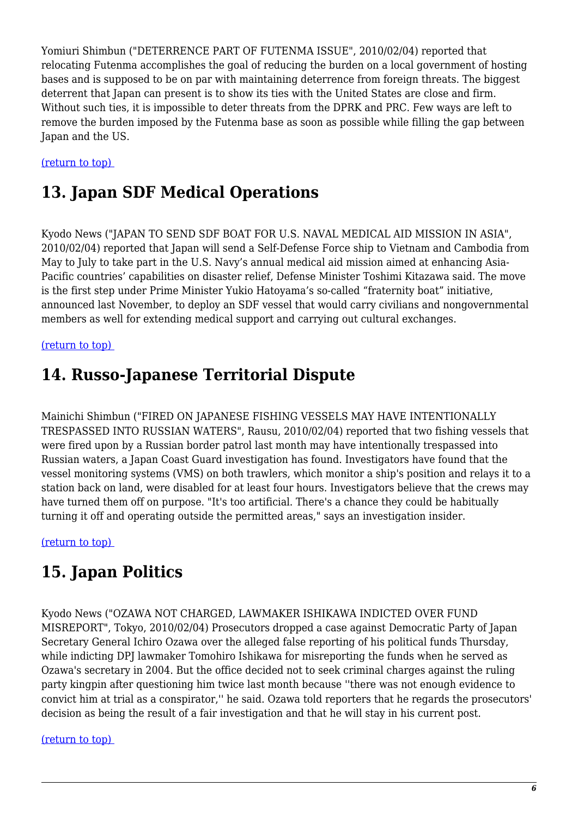Yomiuri Shimbun ("DETERRENCE PART OF FUTENMA ISSUE", 2010/02/04) reported that relocating Futenma accomplishes the goal of reducing the burden on a local government of hosting bases and is supposed to be on par with maintaining deterrence from foreign threats. The biggest deterrent that Japan can present is to show its ties with the United States are close and firm. Without such ties, it is impossible to deter threats from the DPRK and PRC. Few ways are left to remove the burden imposed by the Futenma base as soon as possible while filling the gap between Japan and the US.

#### <span id="page-5-0"></span>[\(return to top\)](#page-0-0)

### **13. Japan SDF Medical Operations**

Kyodo News ("JAPAN TO SEND SDF BOAT FOR U.S. NAVAL MEDICAL AID MISSION IN ASIA", 2010/02/04) reported that Japan will send a Self-Defense Force ship to Vietnam and Cambodia from May to July to take part in the U.S. Navy's annual medical aid mission aimed at enhancing Asia-Pacific countries' capabilities on disaster relief, Defense Minister Toshimi Kitazawa said. The move is the first step under Prime Minister Yukio Hatoyama's so-called "fraternity boat" initiative, announced last November, to deploy an SDF vessel that would carry civilians and nongovernmental members as well for extending medical support and carrying out cultural exchanges.

#### <span id="page-5-1"></span>[\(return to top\)](#page-0-0)

### **14. Russo-Japanese Territorial Dispute**

Mainichi Shimbun ("FIRED ON JAPANESE FISHING VESSELS MAY HAVE INTENTIONALLY TRESPASSED INTO RUSSIAN WATERS", Rausu, 2010/02/04) reported that two fishing vessels that were fired upon by a Russian border patrol last month may have intentionally trespassed into Russian waters, a Japan Coast Guard investigation has found. Investigators have found that the vessel monitoring systems (VMS) on both trawlers, which monitor a ship's position and relays it to a station back on land, were disabled for at least four hours. Investigators believe that the crews may have turned them off on purpose. "It's too artificial. There's a chance they could be habitually turning it off and operating outside the permitted areas," says an investigation insider.

<span id="page-5-2"></span>[\(return to top\)](#page-0-0) 

### **15. Japan Politics**

Kyodo News ("OZAWA NOT CHARGED, LAWMAKER ISHIKAWA INDICTED OVER FUND MISREPORT", Tokyo, 2010/02/04) Prosecutors dropped a case against Democratic Party of Japan Secretary General Ichiro Ozawa over the alleged false reporting of his political funds Thursday, while indicting DPJ lawmaker Tomohiro Ishikawa for misreporting the funds when he served as Ozawa's secretary in 2004. But the office decided not to seek criminal charges against the ruling party kingpin after questioning him twice last month because ''there was not enough evidence to convict him at trial as a conspirator,'' he said. Ozawa told reporters that he regards the prosecutors' decision as being the result of a fair investigation and that he will stay in his current post.

#### <span id="page-5-3"></span>[\(return to top\)](#page-0-0)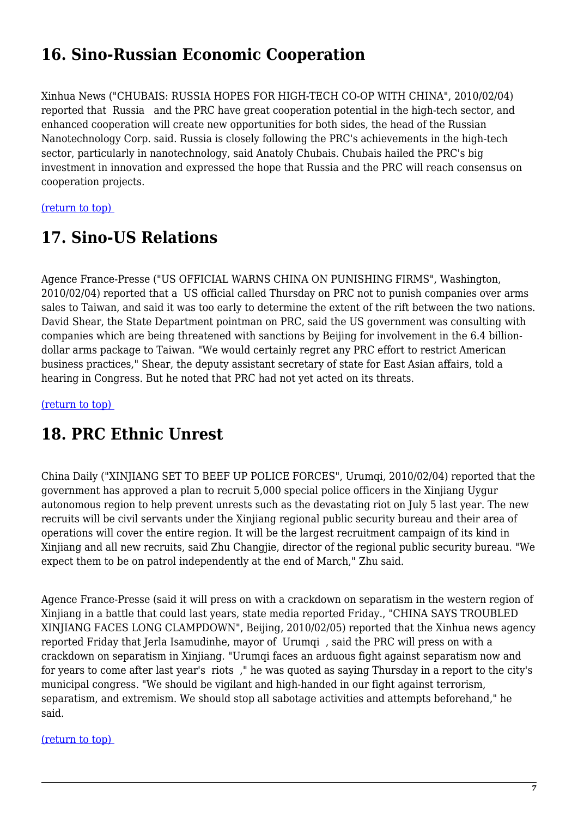## **16. Sino-Russian Economic Cooperation**

Xinhua News ("CHUBAIS: RUSSIA HOPES FOR HIGH-TECH CO-OP WITH CHINA", 2010/02/04) reported that Russia and the PRC have great cooperation potential in the high-tech sector, and enhanced cooperation will create new opportunities for both sides, the head of the Russian Nanotechnology Corp. said. Russia is closely following the PRC's achievements in the high-tech sector, particularly in nanotechnology, said Anatoly Chubais. Chubais hailed the PRC's big investment in innovation and expressed the hope that Russia and the PRC will reach consensus on cooperation projects.

<span id="page-6-0"></span>[\(return to top\)](#page-0-0) 

# **17. Sino-US Relations**

Agence France-Presse ("US OFFICIAL WARNS CHINA ON PUNISHING FIRMS", Washington, 2010/02/04) reported that a US official called Thursday on PRC not to punish companies over arms sales to Taiwan, and said it was too early to determine the extent of the rift between the two nations. David Shear, the State Department pointman on PRC, said the US government was consulting with companies which are being threatened with sanctions by Beijing for involvement in the 6.4 billiondollar arms package to Taiwan. "We would certainly regret any PRC effort to restrict American business practices," Shear, the deputy assistant secretary of state for East Asian affairs, told a hearing in Congress. But he noted that PRC had not yet acted on its threats.

<span id="page-6-1"></span>[\(return to top\)](#page-0-0) 

### **18. PRC Ethnic Unrest**

China Daily ("XINJIANG SET TO BEEF UP POLICE FORCES", Urumqi, 2010/02/04) reported that the government has approved a plan to recruit 5,000 special police officers in the Xinjiang Uygur autonomous region to help prevent unrests such as the devastating riot on July 5 last year. The new recruits will be civil servants under the Xinjiang regional public security bureau and their area of operations will cover the entire region. It will be the largest recruitment campaign of its kind in Xinjiang and all new recruits, said Zhu Changjie, director of the regional public security bureau. "We expect them to be on patrol independently at the end of March," Zhu said.

Agence France-Presse (said it will press on with a crackdown on separatism in the western region of Xinjiang in a battle that could last years, state media reported Friday., "CHINA SAYS TROUBLED XINJIANG FACES LONG CLAMPDOWN", Beijing, 2010/02/05) reported that the Xinhua news agency reported Friday that Jerla Isamudinhe, mayor of Urumqi , said the PRC will press on with a crackdown on separatism in Xinjiang. "Urumqi faces an arduous fight against separatism now and for years to come after last year's riots ," he was quoted as saying Thursday in a report to the city's municipal congress. "We should be vigilant and high-handed in our fight against terrorism, separatism, and extremism. We should stop all sabotage activities and attempts beforehand," he said.

<span id="page-6-2"></span>[\(return to top\)](#page-0-0)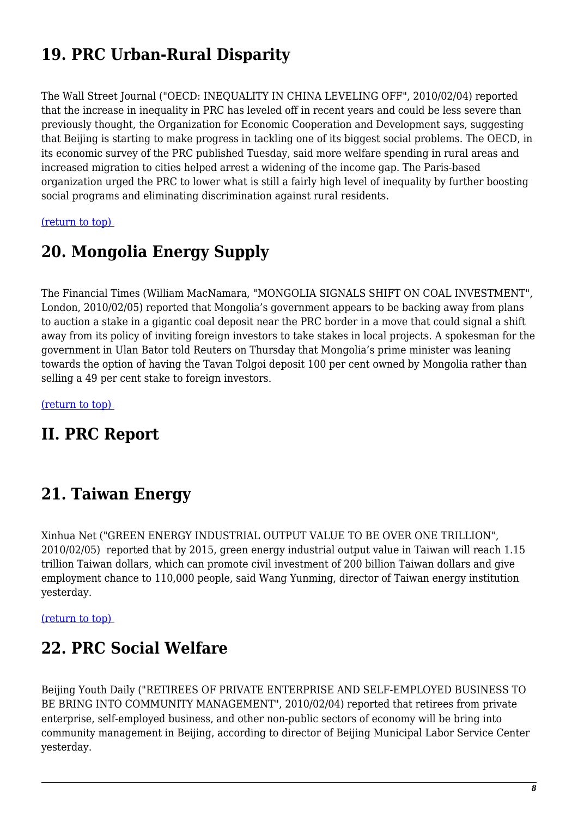# **19. PRC Urban-Rural Disparity**

The Wall Street Journal ("OECD: INEQUALITY IN CHINA LEVELING OFF", 2010/02/04) reported that the increase in inequality in PRC has leveled off in recent years and could be less severe than previously thought, the Organization for Economic Cooperation and Development says, suggesting that Beijing is starting to make progress in tackling one of its biggest social problems. The OECD, in its economic survey of the PRC published Tuesday, said more welfare spending in rural areas and increased migration to cities helped arrest a widening of the income gap. The Paris-based organization urged the PRC to lower what is still a fairly high level of inequality by further boosting social programs and eliminating discrimination against rural residents.

<span id="page-7-0"></span>[\(return to top\)](#page-0-0) 

### **20. Mongolia Energy Supply**

The Financial Times (William MacNamara, "MONGOLIA SIGNALS SHIFT ON COAL INVESTMENT", London, 2010/02/05) reported that Mongolia's government appears to be backing away from plans to auction a stake in a gigantic coal deposit near the PRC border in a move that could signal a shift away from its policy of inviting foreign investors to take stakes in local projects. A spokesman for the government in Ulan Bator told Reuters on Thursday that Mongolia's prime minister was leaning towards the option of having the Tavan Tolgoi deposit 100 per cent owned by Mongolia rather than selling a 49 per cent stake to foreign investors.

[\(return to top\)](#page-0-0) 

### **II. PRC Report**

### <span id="page-7-1"></span>**21. Taiwan Energy**

Xinhua Net ("GREEN ENERGY INDUSTRIAL OUTPUT VALUE TO BE OVER ONE TRILLION", 2010/02/05) reported that by 2015, green energy industrial output value in Taiwan will reach 1.15 trillion Taiwan dollars, which can promote civil investment of 200 billion Taiwan dollars and give employment chance to 110,000 people, said Wang Yunming, director of Taiwan energy institution yesterday.

<span id="page-7-2"></span>[\(return to top\)](#page-0-0) 

### **22. PRC Social Welfare**

<span id="page-7-3"></span>Beijing Youth Daily ("RETIREES OF PRIVATE ENTERPRISE AND SELF-EMPLOYED BUSINESS TO BE BRING INTO COMMUNITY MANAGEMENT", 2010/02/04) reported that retirees from private enterprise, self-employed business, and other non-public sectors of economy will be bring into community management in Beijing, according to director of Beijing Municipal Labor Service Center yesterday.